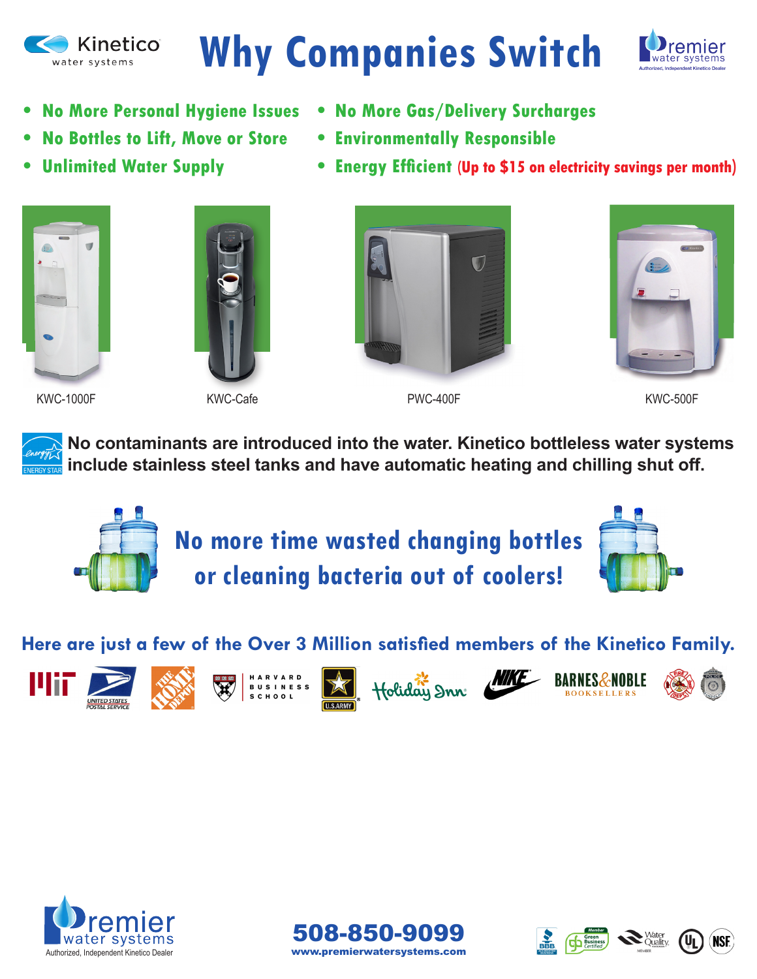

# **Why Companies Switch**



- 
- **• No Bottles to Lift, Move or Store • Environmentally Responsible**
- **• No More Personal Hygiene Issues • No More Gas/Delivery Surcharges**
	-
	- Unlimited Water Supply **•** Energy Efficient (Up to \$15 on electricity savings per month)





KWC-1000F KWC-Cafe PWC-400F KWC-500F



**No contaminants are introduced into the water. Kinetico bottleless water systems include stainless steel tanks and have automatic heating and chilling shut off.**



### Here are just a few of the Over 3 Million satisfied members of the Kinetico Family.